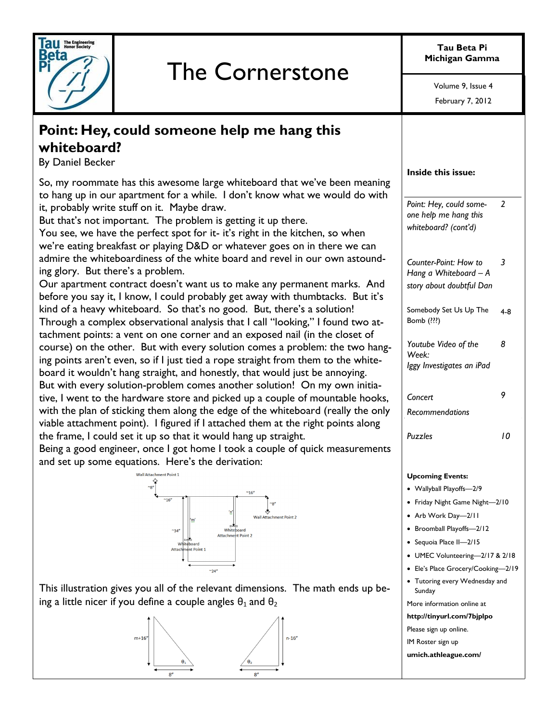| <b>The Engineering<br/>Honor Society</b><br>au<br>Belt.                                                                                                                                                                                                                                                                                                                                                                                                                                                                                                                                                                                                      | <b>The Cornerstone</b>                                                                                                                                                   | Tau Beta Pi<br>Michigan Gamma                                                                                                                                                                 |
|--------------------------------------------------------------------------------------------------------------------------------------------------------------------------------------------------------------------------------------------------------------------------------------------------------------------------------------------------------------------------------------------------------------------------------------------------------------------------------------------------------------------------------------------------------------------------------------------------------------------------------------------------------------|--------------------------------------------------------------------------------------------------------------------------------------------------------------------------|-----------------------------------------------------------------------------------------------------------------------------------------------------------------------------------------------|
|                                                                                                                                                                                                                                                                                                                                                                                                                                                                                                                                                                                                                                                              |                                                                                                                                                                          | Volume 9, Issue 4                                                                                                                                                                             |
|                                                                                                                                                                                                                                                                                                                                                                                                                                                                                                                                                                                                                                                              |                                                                                                                                                                          | February 7, 2012                                                                                                                                                                              |
| Point: Hey, could someone help me hang this<br>whiteboard?<br>By Daniel Becker                                                                                                                                                                                                                                                                                                                                                                                                                                                                                                                                                                               |                                                                                                                                                                          |                                                                                                                                                                                               |
| So, my roommate has this awesome large whiteboard that we've been meaning                                                                                                                                                                                                                                                                                                                                                                                                                                                                                                                                                                                    |                                                                                                                                                                          | Inside this issue:                                                                                                                                                                            |
| to hang up in our apartment for a while. I don't know what we would do with<br>it, probably write stuff on it. Maybe draw.<br>But that's not important. The problem is getting it up there.<br>You see, we have the perfect spot for it- it's right in the kitchen, so when<br>we're eating breakfast or playing D&D or whatever goes on in there we can                                                                                                                                                                                                                                                                                                     |                                                                                                                                                                          | $\overline{2}$<br>Point: Hey, could some-<br>one help me hang this<br>whiteboard? (cont'd)                                                                                                    |
| admire the whiteboardiness of the white board and revel in our own astound-<br>ing glory. But there's a problem.<br>Our apartment contract doesn't want us to make any permanent marks. And                                                                                                                                                                                                                                                                                                                                                                                                                                                                  |                                                                                                                                                                          | Counter-Point: How to<br>3<br>Hang a Whiteboard - A<br>story about doubtful Dan                                                                                                               |
| before you say it, I know, I could probably get away with thumbtacks. But it's<br>kind of a heavy whiteboard. So that's no good. But, there's a solution!<br>Through a complex observational analysis that I call "looking," I found two at-<br>tachment points: a vent on one corner and an exposed nail (in the closet of<br>course) on the other. But with every solution comes a problem: the two hang-<br>ing points aren't even, so if I just tied a rope straight from them to the white-<br>board it wouldn't hang straight, and honestly, that would just be annoying.<br>But with every solution-problem comes another solution! On my own initia- |                                                                                                                                                                          | Somebody Set Us Up The<br>$4-8$<br>Bomb (???)                                                                                                                                                 |
|                                                                                                                                                                                                                                                                                                                                                                                                                                                                                                                                                                                                                                                              |                                                                                                                                                                          | Youtube Video of the<br>8<br>Week:<br>Iggy Investigates an iPad                                                                                                                               |
| tive, I went to the hardware store and picked up a couple of mountable hooks,                                                                                                                                                                                                                                                                                                                                                                                                                                                                                                                                                                                |                                                                                                                                                                          | 9<br>Concert                                                                                                                                                                                  |
| with the plan of sticking them along the edge of the whiteboard (really the only<br>viable attachment point). I figured if I attached them at the right points along                                                                                                                                                                                                                                                                                                                                                                                                                                                                                         |                                                                                                                                                                          | Recommendations                                                                                                                                                                               |
| the frame, I could set it up so that it would hang up straight.<br>Being a good engineer, once I got home I took a couple of quick measurements<br>and set up some equations. Here's the derivation:                                                                                                                                                                                                                                                                                                                                                                                                                                                         |                                                                                                                                                                          | <b>Puzzles</b><br>10                                                                                                                                                                          |
|                                                                                                                                                                                                                                                                                                                                                                                                                                                                                                                                                                                                                                                              | <b>Wall Attachment Point 1</b><br>$^{\sim}16''$<br>$^{\sim}16'$<br><b>Wall Attachment Point 2</b><br>Whiteboard<br>$~^{4}34'$<br><b>Attachment Point 2</b><br>Whiteboard | <b>Upcoming Events:</b><br>• Wallyball Playoffs-2/9<br>• Friday Night Game Night-2/10<br>Arb Work Day-2/11<br>٠<br>Broomball Playoffs-2/12<br>$\bullet$<br>Sequoia Place II-2/15<br>$\bullet$ |
| Attachment Point 1                                                                                                                                                                                                                                                                                                                                                                                                                                                                                                                                                                                                                                           |                                                                                                                                                                          | • UMEC Volunteering-2/17 & 2/18                                                                                                                                                               |
| $~^{\sim}$ 24"<br>This illustration gives you all of the relevant dimensions. The math ends up be-                                                                                                                                                                                                                                                                                                                                                                                                                                                                                                                                                           |                                                                                                                                                                          | Ele's Place Grocery/Cooking-2/19<br>$\bullet$<br>• Tutoring every Wednesday and                                                                                                               |
| ing a little nicer if you define a couple angles $\theta_1$ and $\theta_2$                                                                                                                                                                                                                                                                                                                                                                                                                                                                                                                                                                                   |                                                                                                                                                                          | Sunday<br>More information online at                                                                                                                                                          |
|                                                                                                                                                                                                                                                                                                                                                                                                                                                                                                                                                                                                                                                              |                                                                                                                                                                          | http://tinyurl.com/7bjplpo                                                                                                                                                                    |
| $n - 16''$<br>$m+16$                                                                                                                                                                                                                                                                                                                                                                                                                                                                                                                                                                                                                                         |                                                                                                                                                                          | Please sign up online.                                                                                                                                                                        |
|                                                                                                                                                                                                                                                                                                                                                                                                                                                                                                                                                                                                                                                              | $\bm{\theta}_1$<br>8''<br>8''                                                                                                                                            | IM Roster sign up<br>umich.athleague.com/                                                                                                                                                     |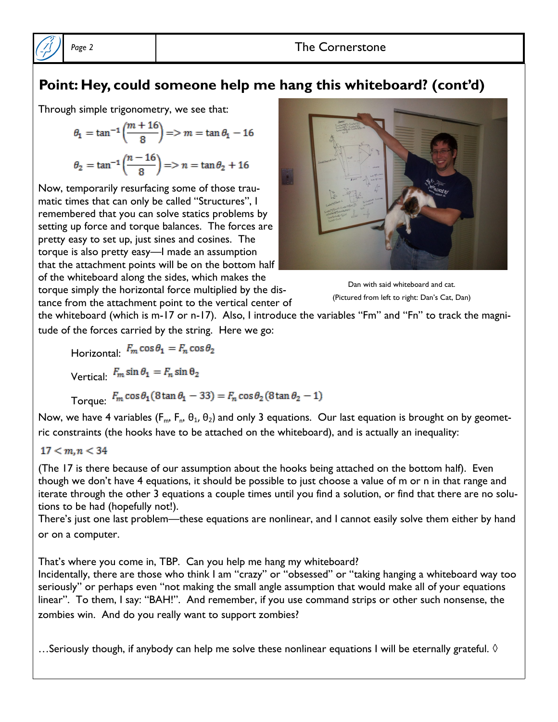

# **Point: Hey, could someone help me hang this whiteboard? (cont'd)**

Through simple trigonometry, we see that:

$$
\theta_1 = \tan^{-1}\left(\frac{m+16}{8}\right) = > m = \tan \theta_1 - 16
$$

$$
\theta_2 = \tan^{-1}\left(\frac{n-16}{8}\right) = > n = \tan \theta_2 + 16
$$

Now, temporarily resurfacing some of those traumatic times that can only be called "Structures", I remembered that you can solve statics problems by setting up force and torque balances. The forces are pretty easy to set up, just sines and cosines. The torque is also pretty easy—I made an assumption that the attachment points will be on the bottom half of the whiteboard along the sides, which makes the

torque simply the horizontal force multiplied by the distance from the attachment point to the vertical center of



Dan with said whiteboard and cat. (Pictured from left to right: Dan's Cat, Dan)

the whiteboard (which is m-17 or n-17). Also, I introduce the variables "Fm" and "Fn" to track the magnitude of the forces carried by the string. Here we go:

Horizontal:  $F_m \cos \theta_1 = F_n \cos \theta_2$ Vertical:  $F_m \sin \theta_1 = F_n \sin \theta_2$ 

Torque:  $F_m \cos \theta_1 (8 \tan \theta_1 - 33) = F_n \cos \theta_2 (8 \tan \theta_2 - 1)$ 

Now, we have 4 variables (F<sub>m</sub>, F<sub>n</sub>,  $\theta_1$ ,  $\theta_2$ ) and only 3 equations. Our last equation is brought on by geometric constraints (the hooks have to be attached on the whiteboard), and is actually an inequality:

### $17 < m, n < 34$

(The 17 is there because of our assumption about the hooks being attached on the bottom half). Even though we don't have 4 equations, it should be possible to just choose a value of m or n in that range and iterate through the other 3 equations a couple times until you find a solution, or find that there are no solutions to be had (hopefully not!).

There's just one last problem—these equations are nonlinear, and I cannot easily solve them either by hand or on a computer.

That's where you come in, TBP. Can you help me hang my whiteboard?

Incidentally, there are those who think I am "crazy" or "obsessed" or "taking hanging a whiteboard way too seriously" or perhaps even "not making the small angle assumption that would make all of your equations linear". To them, I say: "BAH!". And remember, if you use command strips or other such nonsense, the zombies win. And do you really want to support zombies?

…Seriously though, if anybody can help me solve these nonlinear equations I will be eternally grateful.  $\Diamond$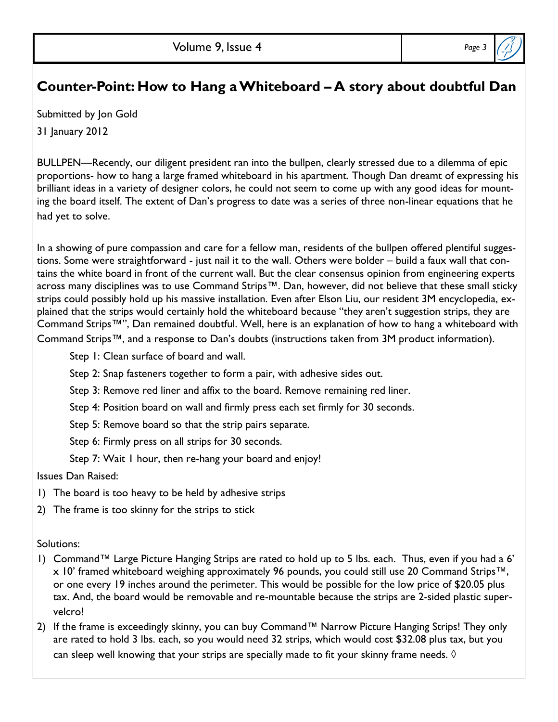

Submitted by Jon Gold

31 January 2012

BULLPEN—Recently, our diligent president ran into the bullpen, clearly stressed due to a dilemma of epic proportions- how to hang a large framed whiteboard in his apartment. Though Dan dreamt of expressing his brilliant ideas in a variety of designer colors, he could not seem to come up with any good ideas for mounting the board itself. The extent of Dan's progress to date was a series of three non-linear equations that he had yet to solve.

In a showing of pure compassion and care for a fellow man, residents of the bullpen offered plentiful suggestions. Some were straightforward - just nail it to the wall. Others were bolder – build a faux wall that contains the white board in front of the current wall. But the clear consensus opinion from engineering experts across many disciplines was to use Command Strips™. Dan, however, did not believe that these small sticky strips could possibly hold up his massive installation. Even after Elson Liu, our resident 3M encyclopedia, explained that the strips would certainly hold the whiteboard because "they aren't suggestion strips, they are Command Strips<sup>™</sup>", Dan remained doubtful. Well, here is an explanation of how to hang a whiteboard with Command Strips™, and a response to Dan's doubts (instructions taken from 3M product information).

Step 1: Clean surface of board and wall.

Step 2: Snap fasteners together to form a pair, with adhesive sides out.

Step 3: Remove red liner and affix to the board. Remove remaining red liner.

Step 4: Position board on wall and firmly press each set firmly for 30 seconds.

Step 5: Remove board so that the strip pairs separate.

Step 6: Firmly press on all strips for 30 seconds.

Step 7: Wait 1 hour, then re-hang your board and enjoy!

Issues Dan Raised:

- 1) The board is too heavy to be held by adhesive strips
- 2) The frame is too skinny for the strips to stick

Solutions:

- 1) Command™ Large Picture Hanging Strips are rated to hold up to 5 lbs. each. Thus, even if you had a 6' x 10' framed whiteboard weighing approximately 96 pounds, you could still use 20 Command Strips™, or one every 19 inches around the perimeter. This would be possible for the low price of \$20.05 plus tax. And, the board would be removable and re-mountable because the strips are 2-sided plastic supervelcro!
- 2) If the frame is exceedingly skinny, you can buy Command™ Narrow Picture Hanging Strips! They only are rated to hold 3 lbs. each, so you would need 32 strips, which would cost \$32.08 plus tax, but you can sleep well knowing that your strips are specially made to fit your skinny frame needs.  $\Diamond$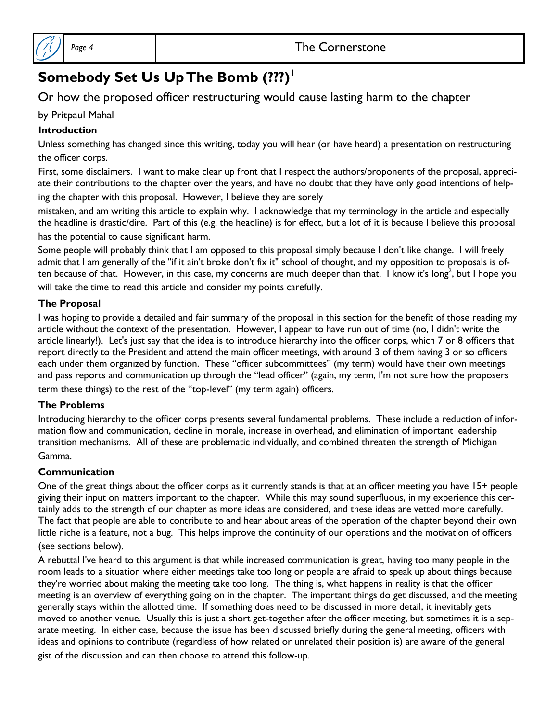

### *Page 4* The Cornerstone

# **Somebody Set Us Up The Bomb (???)<sup>1</sup>**

### Or how the proposed officer restructuring would cause lasting harm to the chapter

### by Pritpaul Mahal

### **Introduction**

Unless something has changed since this writing, today you will hear (or have heard) a presentation on restructuring the officer corps.

First, some disclaimers. I want to make clear up front that I respect the authors/proponents of the proposal, appreciate their contributions to the chapter over the years, and have no doubt that they have only good intentions of helping the chapter with this proposal. However, I believe they are sorely

mistaken, and am writing this article to explain why. I acknowledge that my terminology in the article and especially the headline is drastic/dire. Part of this (e.g. the headline) is for effect, but a lot of it is because I believe this proposal

has the potential to cause significant harm.

Some people will probably think that I am opposed to this proposal simply because I don't like change. I will freely admit that I am generally of the "if it ain't broke don't fix it" school of thought, and my opposition to proposals is often because of that. However, in this case, my concerns are much deeper than that. I know it's long<sup>2</sup>, but I hope you will take the time to read this article and consider my points carefully.

#### **The Proposal**

I was hoping to provide a detailed and fair summary of the proposal in this section for the benefit of those reading my article without the context of the presentation. However, I appear to have run out of time (no, I didn't write the article linearly!). Let's just say that the idea is to introduce hierarchy into the officer corps, which 7 or 8 officers that report directly to the President and attend the main officer meetings, with around 3 of them having 3 or so officers each under them organized by function. These "officer subcommittees" (my term) would have their own meetings and pass reports and communication up through the "lead officer" (again, my term, I'm not sure how the proposers term these things) to the rest of the "top-level" (my term again) officers.

#### **The Problems**

Introducing hierarchy to the officer corps presents several fundamental problems. These include a reduction of information flow and communication, decline in morale, increase in overhead, and elimination of important leadership transition mechanisms. All of these are problematic individually, and combined threaten the strength of Michigan Gamma.

#### **Communication**

One of the great things about the officer corps as it currently stands is that at an officer meeting you have 15+ people giving their input on matters important to the chapter. While this may sound superfluous, in my experience this certainly adds to the strength of our chapter as more ideas are considered, and these ideas are vetted more carefully. The fact that people are able to contribute to and hear about areas of the operation of the chapter beyond their own little niche is a feature, not a bug. This helps improve the continuity of our operations and the motivation of officers (see sections below).

A rebuttal I've heard to this argument is that while increased communication is great, having too many people in the room leads to a situation where either meetings take too long or people are afraid to speak up about things because they're worried about making the meeting take too long. The thing is, what happens in reality is that the officer meeting is an overview of everything going on in the chapter. The important things do get discussed, and the meeting generally stays within the allotted time. If something does need to be discussed in more detail, it inevitably gets moved to another venue. Usually this is just a short get-together after the officer meeting, but sometimes it is a separate meeting. In either case, because the issue has been discussed briefly during the general meeting, officers with ideas and opinions to contribute (regardless of how related or unrelated their position is) are aware of the general gist of the discussion and can then choose to attend this follow-up.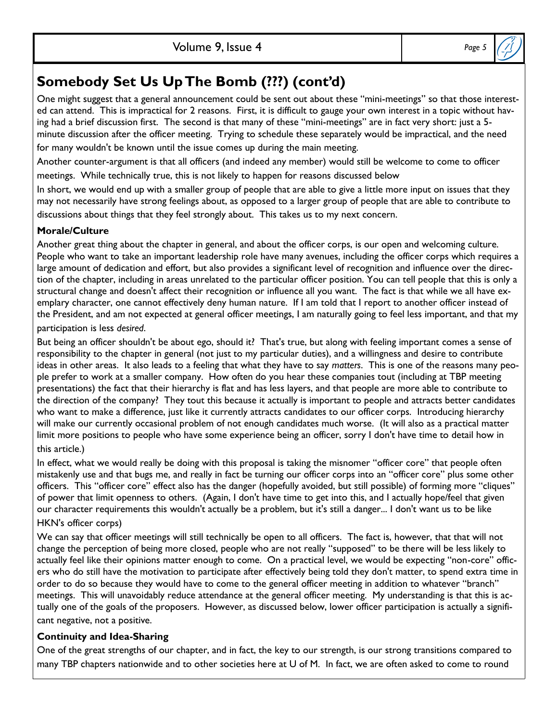# **Somebody Set Us Up The Bomb (???) (cont'd)**

One might suggest that a general announcement could be sent out about these "mini-meetings" so that those interested can attend. This is impractical for 2 reasons. First, it is difficult to gauge your own interest in a topic without having had a brief discussion first. The second is that many of these "mini-meetings" are in fact very short: just a 5minute discussion after the officer meeting. Trying to schedule these separately would be impractical, and the need for many wouldn't be known until the issue comes up during the main meeting.

Another counter-argument is that all officers (and indeed any member) would still be welcome to come to officer meetings. While technically true, this is not likely to happen for reasons discussed below

In short, we would end up with a smaller group of people that are able to give a little more input on issues that they may not necessarily have strong feelings about, as opposed to a larger group of people that are able to contribute to discussions about things that they feel strongly about. This takes us to my next concern.

### **Morale/Culture**

Another great thing about the chapter in general, and about the officer corps, is our open and welcoming culture. People who want to take an important leadership role have many avenues, including the officer corps which requires a large amount of dedication and effort, but also provides a significant level of recognition and influence over the direction of the chapter, including in areas unrelated to the particular officer position. You can tell people that this is only a structural change and doesn't affect their recognition or influence all you want. The fact is that while we all have exemplary character, one cannot effectively deny human nature. If I am told that I report to another officer instead of the President, and am not expected at general officer meetings, I am naturally going to feel less important, and that my participation is less *desired*.

But being an officer shouldn't be about ego, should it? That's true, but along with feeling important comes a sense of responsibility to the chapter in general (not just to my particular duties), and a willingness and desire to contribute ideas in other areas. It also leads to a feeling that what they have to say *matters*. This is one of the reasons many people prefer to work at a smaller company. How often do you hear these companies tout (including at TBP meeting presentations) the fact that their hierarchy is flat and has less layers, and that people are more able to contribute to the direction of the company? They tout this because it actually is important to people and attracts better candidates who want to make a difference, just like it currently attracts candidates to our officer corps. Introducing hierarchy will make our currently occasional problem of not enough candidates much worse. (It will also as a practical matter limit more positions to people who have some experience being an officer, sorry I don't have time to detail how in this article.)

In effect, what we would really be doing with this proposal is taking the misnomer "officer core" that people often mistakenly use and that bugs me, and really in fact be turning our officer corps into an "officer core" plus some other officers. This "officer core" effect also has the danger (hopefully avoided, but still possible) of forming more "cliques" of power that limit openness to others. (Again, I don't have time to get into this, and I actually hope/feel that given our character requirements this wouldn't actually be a problem, but it's still a danger... I don't want us to be like HKN's officer corps)

We can say that officer meetings will still technically be open to all officers. The fact is, however, that that will not change the perception of being more closed, people who are not really "supposed" to be there will be less likely to actually feel like their opinions matter enough to come. On a practical level, we would be expecting "non-core" officers who do still have the motivation to participate after effectively being told they don't matter, to spend extra time in order to do so because they would have to come to the general officer meeting in addition to whatever "branch" meetings. This will unavoidably reduce attendance at the general officer meeting. My understanding is that this is actually one of the goals of the proposers. However, as discussed below, lower officer participation is actually a significant negative, not a positive.

#### **Continuity and Idea-Sharing**

One of the great strengths of our chapter, and in fact, the key to our strength, is our strong transitions compared to many TBP chapters nationwide and to other societies here at U of M. In fact, we are often asked to come to round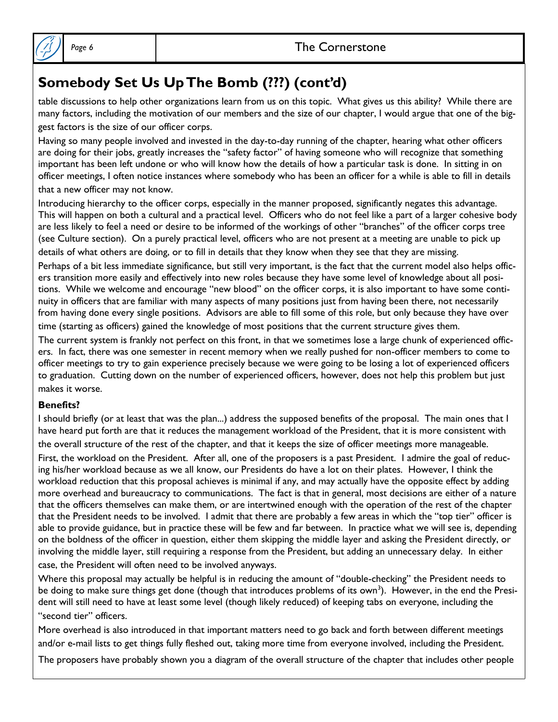

# **Somebody Set Us Up The Bomb (???) (cont'd)**

table discussions to help other organizations learn from us on this topic. What gives us this ability? While there are many factors, including the motivation of our members and the size of our chapter, I would argue that one of the biggest factors is the size of our officer corps.

Having so many people involved and invested in the day-to-day running of the chapter, hearing what other officers are doing for their jobs, greatly increases the "safety factor" of having someone who will recognize that something important has been left undone or who will know how the details of how a particular task is done. In sitting in on officer meetings, I often notice instances where somebody who has been an officer for a while is able to fill in details that a new officer may not know.

Introducing hierarchy to the officer corps, especially in the manner proposed, significantly negates this advantage. This will happen on both a cultural and a practical level. Officers who do not feel like a part of a larger cohesive body are less likely to feel a need or desire to be informed of the workings of other "branches" of the officer corps tree (see Culture section). On a purely practical level, officers who are not present at a meeting are unable to pick up details of what others are doing, or to fill in details that they know when they see that they are missing.

Perhaps of a bit less immediate significance, but still very important, is the fact that the current model also helps officers transition more easily and effectively into new roles because they have some level of knowledge about all positions. While we welcome and encourage "new blood" on the officer corps, it is also important to have some continuity in officers that are familiar with many aspects of many positions just from having been there, not necessarily from having done every single positions. Advisors are able to fill some of this role, but only because they have over time (starting as officers) gained the knowledge of most positions that the current structure gives them.

The current system is frankly not perfect on this front, in that we sometimes lose a large chunk of experienced officers. In fact, there was one semester in recent memory when we really pushed for non-officer members to come to officer meetings to try to gain experience precisely because we were going to be losing a lot of experienced officers to graduation. Cutting down on the number of experienced officers, however, does not help this problem but just makes it worse.

#### **Benefits?**

I should briefly (or at least that was the plan...) address the supposed benefits of the proposal. The main ones that I have heard put forth are that it reduces the management workload of the President, that it is more consistent with the overall structure of the rest of the chapter, and that it keeps the size of officer meetings more manageable.

First, the workload on the President. After all, one of the proposers is a past President. I admire the goal of reducing his/her workload because as we all know, our Presidents do have a lot on their plates. However, I think the workload reduction that this proposal achieves is minimal if any, and may actually have the opposite effect by adding more overhead and bureaucracy to communications. The fact is that in general, most decisions are either of a nature that the officers themselves can make them, or are intertwined enough with the operation of the rest of the chapter that the President needs to be involved. I admit that there are probably a few areas in which the "top tier" officer is able to provide guidance, but in practice these will be few and far between. In practice what we will see is, depending on the boldness of the officer in question, either them skipping the middle layer and asking the President directly, or involving the middle layer, still requiring a response from the President, but adding an unnecessary delay. In either case, the President will often need to be involved anyways.

Where this proposal may actually be helpful is in reducing the amount of "double-checking" the President needs to be doing to make sure things get done (though that introduces problems of its own<sup>3</sup>). However, in the end the President will still need to have at least some level (though likely reduced) of keeping tabs on everyone, including the "second tier" officers.

More overhead is also introduced in that important matters need to go back and forth between different meetings and/or e-mail lists to get things fully fleshed out, taking more time from everyone involved, including the President.

The proposers have probably shown you a diagram of the overall structure of the chapter that includes other people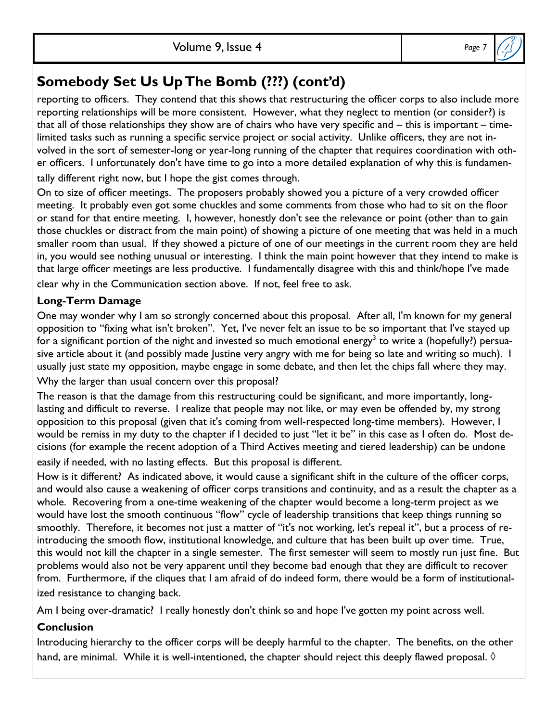# **Somebody Set Us Up The Bomb (???) (cont'd)**

reporting to officers. They contend that this shows that restructuring the officer corps to also include more reporting relationships will be more consistent. However, what they neglect to mention (or consider?) is that all of those relationships they show are of chairs who have very specific and – this is important – timelimited tasks such as running a specific service project or social activity. Unlike officers, they are not involved in the sort of semester-long or year-long running of the chapter that requires coordination with other officers. I unfortunately don't have time to go into a more detailed explanation of why this is fundamentally different right now, but I hope the gist comes through.

On to size of officer meetings. The proposers probably showed you a picture of a very crowded officer meeting. It probably even got some chuckles and some comments from those who had to sit on the floor or stand for that entire meeting. I, however, honestly don't see the relevance or point (other than to gain those chuckles or distract from the main point) of showing a picture of one meeting that was held in a much smaller room than usual. If they showed a picture of one of our meetings in the current room they are held in, you would see nothing unusual or interesting. I think the main point however that they intend to make is that large officer meetings are less productive. I fundamentally disagree with this and think/hope I've made clear why in the Communication section above. If not, feel free to ask.

### **Long-Term Damage**

One may wonder why I am so strongly concerned about this proposal. After all, I'm known for my general opposition to "fixing what isn't broken". Yet, I've never felt an issue to be so important that I've stayed up for a significant portion of the night and invested so much emotional energy $^3$  to write a (hopefully?) persuasive article about it (and possibly made Justine very angry with me for being so late and writing so much). I usually just state my opposition, maybe engage in some debate, and then let the chips fall where they may.

Why the larger than usual concern over this proposal?

The reason is that the damage from this restructuring could be significant, and more importantly, longlasting and difficult to reverse. I realize that people may not like, or may even be offended by, my strong opposition to this proposal (given that it's coming from well-respected long-time members). However, I would be remiss in my duty to the chapter if I decided to just "let it be" in this case as I often do. Most decisions (for example the recent adoption of a Third Actives meeting and tiered leadership) can be undone easily if needed, with no lasting effects. But this proposal is different.

How is it different? As indicated above, it would cause a significant shift in the culture of the officer corps, and would also cause a weakening of officer corps transitions and continuity, and as a result the chapter as a whole. Recovering from a one-time weakening of the chapter would become a long-term project as we would have lost the smooth continuous "flow" cycle of leadership transitions that keep things running so smoothly. Therefore, it becomes not just a matter of "it's not working, let's repeal it", but a process of reintroducing the smooth flow, institutional knowledge, and culture that has been built up over time. True, this would not kill the chapter in a single semester. The first semester will seem to mostly run just fine. But problems would also not be very apparent until they become bad enough that they are difficult to recover from. Furthermore, if the cliques that I am afraid of do indeed form, there would be a form of institutionalized resistance to changing back.

Am I being over-dramatic? I really honestly don't think so and hope I've gotten my point across well.

### **Conclusion**

Introducing hierarchy to the officer corps will be deeply harmful to the chapter. The benefits, on the other hand, are minimal. While it is well-intentioned, the chapter should reject this deeply flawed proposal.  $\Diamond$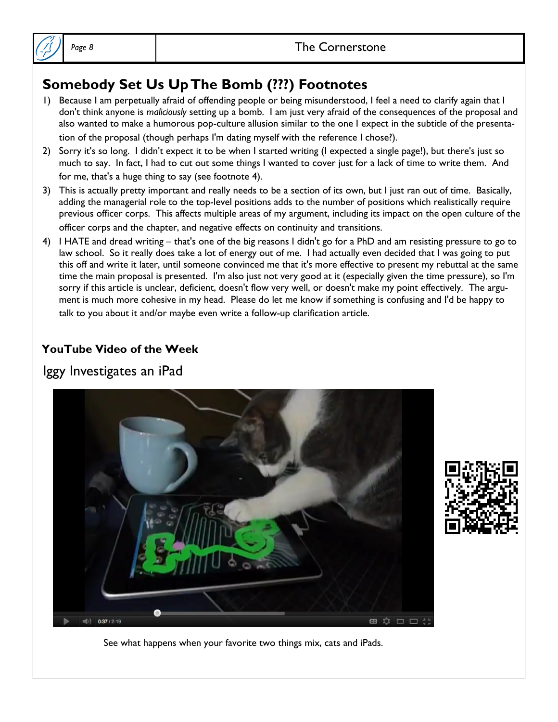

# **Somebody Set Us Up The Bomb (???) Footnotes**

- 1) Because I am perpetually afraid of offending people or being misunderstood, I feel a need to clarify again that I don't think anyone is *maliciously* setting up a bomb. I am just very afraid of the consequences of the proposal and also wanted to make a humorous pop-culture allusion similar to the one I expect in the subtitle of the presentation of the proposal (though perhaps I'm dating myself with the reference I chose?).
- 2) Sorry it's so long. I didn't expect it to be when I started writing (I expected a single page!), but there's just so much to say. In fact, I had to cut out some things I wanted to cover just for a lack of time to write them. And for me, that's a huge thing to say (see footnote 4).
- 3) This is actually pretty important and really needs to be a section of its own, but I just ran out of time. Basically, adding the managerial role to the top-level positions adds to the number of positions which realistically require previous officer corps. This affects multiple areas of my argument, including its impact on the open culture of the officer corps and the chapter, and negative effects on continuity and transitions.
- 4) I HATE and dread writing that's one of the big reasons I didn't go for a PhD and am resisting pressure to go to law school. So it really does take a lot of energy out of me. I had actually even decided that I was going to put this off and write it later, until someone convinced me that it's more effective to present my rebuttal at the same time the main proposal is presented. I'm also just not very good at it (especially given the time pressure), so I'm sorry if this article is unclear, deficient, doesn't flow very well, or doesn't make my point effectively. The argument is much more cohesive in my head. Please do let me know if something is confusing and I'd be happy to talk to you about it and/or maybe even write a follow-up clarification article.

## **YouTube Video of the Week**

Iggy Investigates an iPad



See what happens when your favorite two things mix, cats and iPads.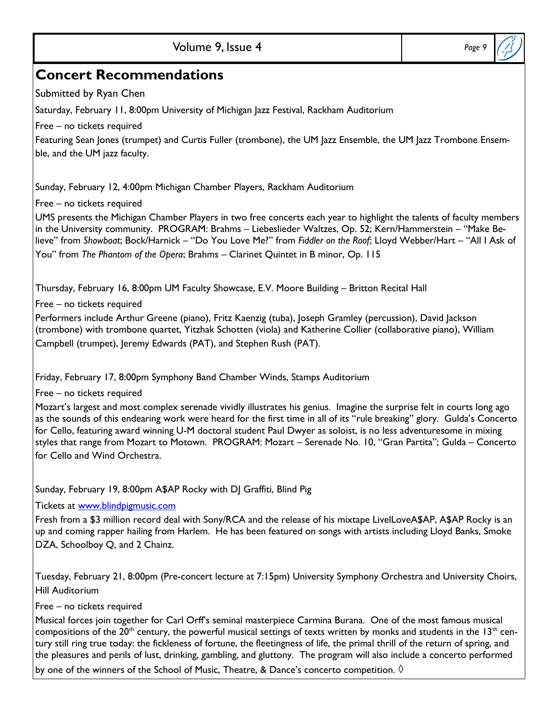### Volume 9, Issue 4 *Page 9*

## **Concert Recommendations**

Submitted by Ryan Chen

Saturday, February 11, 8:00pm University of Michigan Jazz Festival, Rackham Auditorium

Free – no tickets required

Featuring Sean Jones (trumpet) and Curtis Fuller (trombone), the UM Jazz Ensemble, the UM Jazz Trombone Ensemble, and the UM jazz faculty.

Sunday, February 12, 4:00pm Michigan Chamber Players, Rackham Auditorium

Free – no tickets required

UMS presents the Michigan Chamber Players in two free concerts each year to highlight the talents of faculty members in the University community. PROGRAM: Brahms – Liebeslieder Waltzes, Op. 52; Kern/Hammerstein – "Make Believe" from *Showboat*; Bock/Harnick – "Do You Love Me?" from *Fiddler on the Roof*; Lloyd Webber/Hart – "All I Ask of You" from *The Phantom of the Opera*; Brahms – Clarinet Quintet in B minor, Op. 115

Thursday, February 16, 8:00pm UM Faculty Showcase, E.V. Moore Building – Britton Recital Hall

Free – no tickets required

Performers include Arthur Greene (piano), Fritz Kaenzig (tuba), Joseph Gramley (percussion), David Jackson (trombone) with trombone quartet, Yitzhak Schotten (viola) and Katherine Collier (collaborative piano), William Campbell (trumpet), Jeremy Edwards (PAT), and Stephen Rush (PAT).

Friday, February 17, 8:00pm Symphony Band Chamber Winds, Stamps Auditorium

Free – no tickets required

Mozart's largest and most complex serenade vividly illustrates his genius. Imagine the surprise felt in courts long ago as the sounds of this endearing work were heard for the first time in all of its "rule breaking" glory. Gulda's Concerto for Cello, featuring award winning U-M doctoral student Paul Dwyer as soloist, is no less adventuresome in mixing styles that range from Mozart to Motown. PROGRAM: Mozart – Serenade No. 10, "Gran Partita"; Gulda – Concerto for Cello and Wind Orchestra.

Sunday, February 19, 8:00pm A\$AP Rocky with DJ Graffiti, Blind Pig

Tickets at [www.blindpigmusic.com](http://www.blindpigmusic.com)

Fresh from a \$3 million record deal with Sony/RCA and the release of his mixtape LivelLoveA\$AP, A\$AP Rocky is an up and coming rapper hailing from Harlem. He has been featured on songs with artists including Lloyd Banks, Smoke DZA, Schoolboy Q, and 2 Chainz.

Tuesday, February 21, 8:00pm (Pre-concert lecture at 7:15pm) University Symphony Orchestra and University Choirs, Hill Auditorium

#### Free – no tickets required

Musical forces join together for Carl Orff's seminal masterpiece Carmina Burana. One of the most famous musical compositions of the  $20<sup>th</sup>$  century, the powerful musical settings of texts written by monks and students in the 13<sup>th</sup> century still ring true today: the fickleness of fortune, the fleetingness of life, the primal thrill of the return of spring, and the pleasures and perils of lust, drinking, gambling, and gluttony. The program will also include a concerto performed by one of the winners of the School of Music, Theatre, & Dance's concerto competition.  $\lozenge$